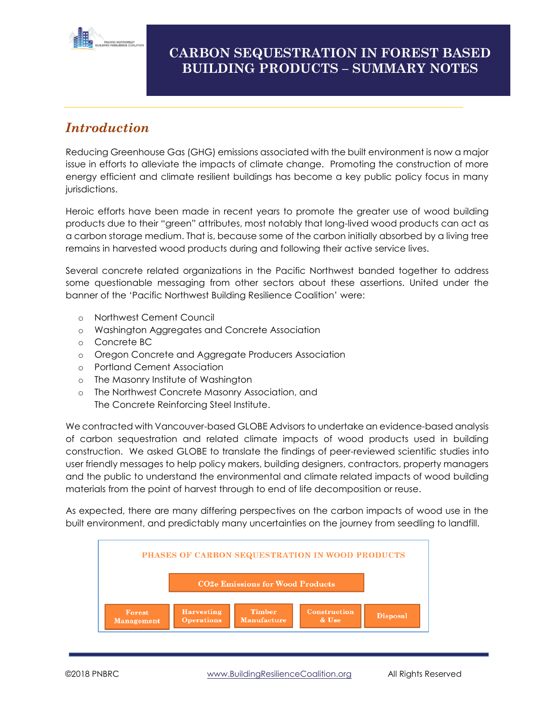

#### **CARBON SEQUESTRATION IN FOREST BASED BUILDING PRODUCTS – SUMMARY NOTES**

# *Introduction*

Reducing Greenhouse Gas (GHG) emissions associated with the built environment is now a major issue in efforts to alleviate the impacts of climate change. Promoting the construction of more energy efficient and climate resilient buildings has become a key public policy focus in many jurisdictions.

Heroic efforts have been made in recent years to promote the greater use of wood building products due to their "green" attributes, most notably that long-lived wood products can act as a carbon storage medium. That is, because some of the carbon initially absorbed by a living tree remains in harvested wood products during and following their active service lives.

Several concrete related organizations in the Pacific Northwest banded together to address some questionable messaging from other sectors about these assertions. United under the banner of the 'Pacific Northwest Building Resilience Coalition' were:

- o Northwest Cement Council
- o Washington Aggregates and Concrete Association
- o Concrete BC
- o Oregon Concrete and Aggregate Producers Association
- o Portland Cement Association
- o The Masonry Institute of Washington
- o The Northwest Concrete Masonry Association, and The Concrete Reinforcing Steel Institute.

We contracted with Vancouver-based GLOBE Advisors to undertake an evidence-based analysis of carbon sequestration and related climate impacts of wood products used in building construction. We asked GLOBE to translate the findings of peer-reviewed scientific studies into user friendly messages to help policy makers, building designers, contractors, property managers and the public to understand the environmental and climate related impacts of wood building materials from the point of harvest through to end of life decomposition or reuse.

As expected, there are many differing perspectives on the carbon impacts of wood use in the built environment, and predictably many uncertainties on the journey from seedling to landfill.

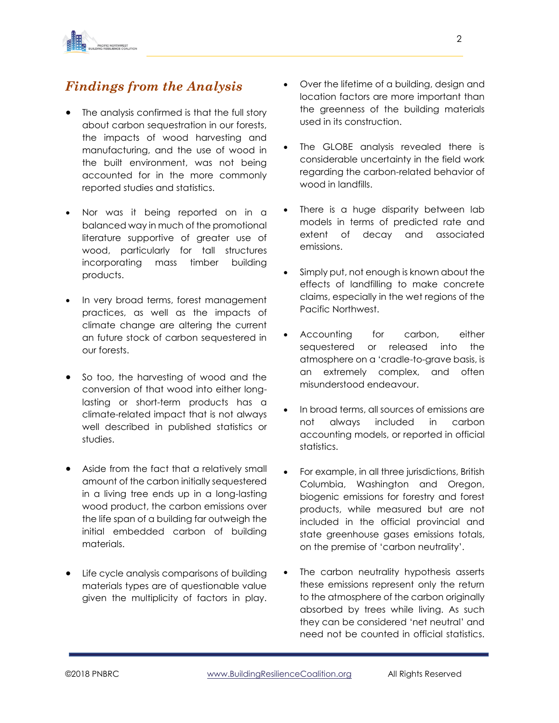

## *Findings from the Analysis*

- The analysis confirmed is that the full story about carbon sequestration in our forests, the impacts of wood harvesting and manufacturing, and the use of wood in the built environment, was not being accounted for in the more commonly reported studies and statistics.
- Nor was it being reported on in a balanced way in much of the promotional literature supportive of greater use of wood, particularly for tall structures incorporating mass timber building products.
- In very broad terms, forest management practices, as well as the impacts of climate change are altering the current an future stock of carbon sequestered in our forests.
- So too, the harvesting of wood and the conversion of that wood into either longlasting or short-term products has a climate-related impact that is not always well described in published statistics or studies.
- Aside from the fact that a relatively small amount of the carbon initially sequestered in a living tree ends up in a long-lasting wood product, the carbon emissions over the life span of a building far outweigh the initial embedded carbon of building materials.
- Life cycle analysis comparisons of building materials types are of questionable value given the multiplicity of factors in play.
- Over the lifetime of a building, design and location factors are more important than the greenness of the building materials used in its construction.
- The GLOBE analysis revealed there is considerable uncertainty in the field work regarding the carbon-related behavior of wood in landfills.
- There is a huge disparity between lab models in terms of predicted rate and extent of decay and associated emissions.
- Simply put, not enough is known about the effects of landfilling to make concrete claims, especially in the wet regions of the Pacific Northwest.
- Accounting for carbon, either sequestered or released into the atmosphere on a 'cradle-to-grave basis, is an extremely complex, and often misunderstood endeavour.
- In broad terms, all sources of emissions are not always included in carbon accounting models, or reported in official statistics.
- For example, in all three jurisdictions, British Columbia, Washington and Oregon, biogenic emissions for forestry and forest products, while measured but are not included in the official provincial and state greenhouse gases emissions totals, on the premise of 'carbon neutrality'.
- The carbon neutrality hypothesis asserts these emissions represent only the return to the atmosphere of the carbon originally absorbed by trees while living. As such they can be considered 'net neutral' and need not be counted in official statistics.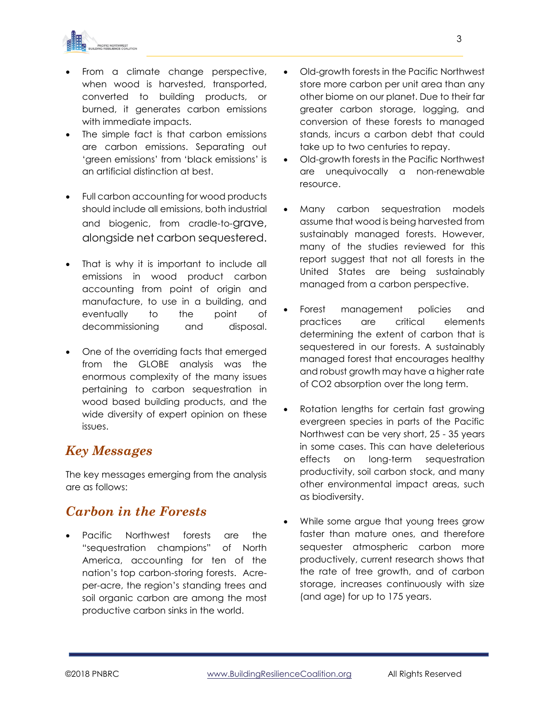

- From a climate change perspective, when wood is harvested, transported, converted to building products, or burned, it generates carbon emissions with immediate impacts.
- The simple fact is that carbon emissions are carbon emissions. Separating out 'green emissions' from 'black emissions' is an artificial distinction at best.
- Full carbon accounting for wood products should include all emissions, both industrial and biogenic, from cradle-to-grave, alongside net carbon sequestered.
- That is why it is important to include all emissions in wood product carbon accounting from point of origin and manufacture, to use in a building, and eventually to the point of decommissioning and disposal.
- One of the overriding facts that emerged from the GLOBE analysis was the enormous complexity of the many issues pertaining to carbon sequestration in wood based building products, and the wide diversity of expert opinion on these issues.

#### *Key Messages*

The key messages emerging from the analysis are as follows:

#### *Carbon in the Forests*

• Pacific Northwest forests are the "sequestration champions" of North America, accounting for ten of the nation's top carbon-storing forests. Acreper-acre, the region's standing trees and soil organic carbon are among the most productive carbon sinks in the world.

- Old-growth forests in the Pacific Northwest store more carbon per unit area than any other biome on our planet. Due to their far greater carbon storage, logging, and conversion of these forests to managed stands, incurs a carbon debt that could take up to two centuries to repay.
- Old-growth forests in the Pacific Northwest are unequivocally a non-renewable resource.
- Many carbon sequestration models assume that wood is being harvested from sustainably managed forests. However, many of the studies reviewed for this report suggest that not all forests in the United States are being sustainably managed from a carbon perspective.
- Forest management policies and practices are critical elements determining the extent of carbon that is sequestered in our forests. A sustainably managed forest that encourages healthy and robust growth may have a higher rate of CO2 absorption over the long term.
- Rotation lengths for certain fast growing evergreen species in parts of the Pacific Northwest can be very short, 25 - 35 years in some cases. This can have deleterious effects on long-term sequestration productivity, soil carbon stock, and many other environmental impact areas, such as biodiversity.
- While some argue that young trees grow faster than mature ones, and therefore sequester atmospheric carbon more productively, current research shows that the rate of tree growth, and of carbon storage, increases continuously with size (and age) for up to 175 years.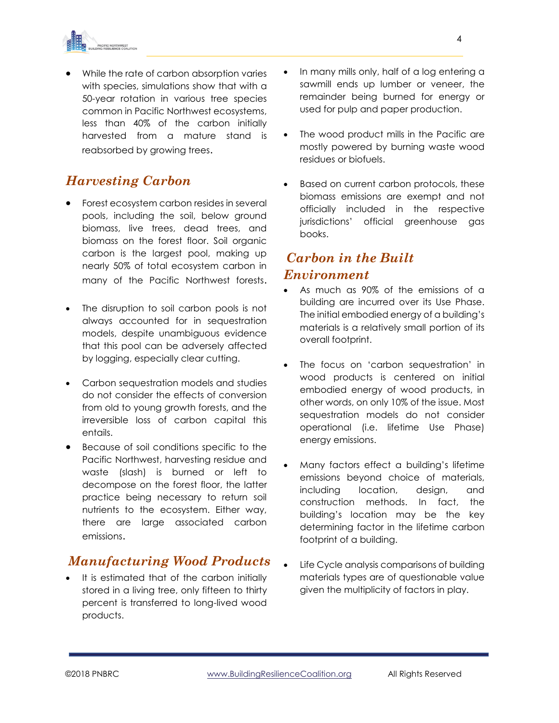

• While the rate of carbon absorption varies with species, simulations show that with a 50-year rotation in various tree species common in Pacific Northwest ecosystems, less than 40% of the carbon initially harvested from a mature stand is reabsorbed by growing trees.

### *Harvesting Carbon*

- Forest ecosystem carbon resides in several pools, including the soil, below ground biomass, live trees, dead trees, and biomass on the forest floor. Soil organic carbon is the largest pool, making up nearly 50% of total ecosystem carbon in many of the Pacific Northwest forests.
- The disruption to soil carbon pools is not always accounted for in sequestration models, despite unambiguous evidence that this pool can be adversely affected by logging, especially clear cutting.
- Carbon sequestration models and studies do not consider the effects of conversion from old to young growth forests, and the irreversible loss of carbon capital this entails.
- Because of soil conditions specific to the Pacific Northwest, harvesting residue and waste (slash) is burned or left to decompose on the forest floor, the latter practice being necessary to return soil nutrients to the ecosystem. Either way, there are large associated carbon emissions.

#### *Manufacturing Wood Products*

• It is estimated that of the carbon initially stored in a living tree, only fifteen to thirty percent is transferred to long-lived wood products.

- In many mills only, half of a log entering a sawmill ends up lumber or veneer, the remainder being burned for energy or used for pulp and paper production.
- The wood product mills in the Pacific are mostly powered by burning waste wood residues or biofuels.
- Based on current carbon protocols, these biomass emissions are exempt and not officially included in the respective jurisdictions' official greenhouse gas books.

#### *Carbon in the Built Environment*

- As much as 90% of the emissions of a building are incurred over its Use Phase. The initial embodied energy of a building's materials is a relatively small portion of its overall footprint.
- The focus on 'carbon sequestration' in wood products is centered on initial embodied energy of wood products, in other words, on only 10% of the issue. Most sequestration models do not consider operational (i.e. lifetime Use Phase) energy emissions.
- Many factors effect a building's lifetime emissions beyond choice of materials, including location, design, and construction methods. In fact, the building's location may be the key determining factor in the lifetime carbon footprint of a building.
- Life Cycle analysis comparisons of building materials types are of questionable value given the multiplicity of factors in play.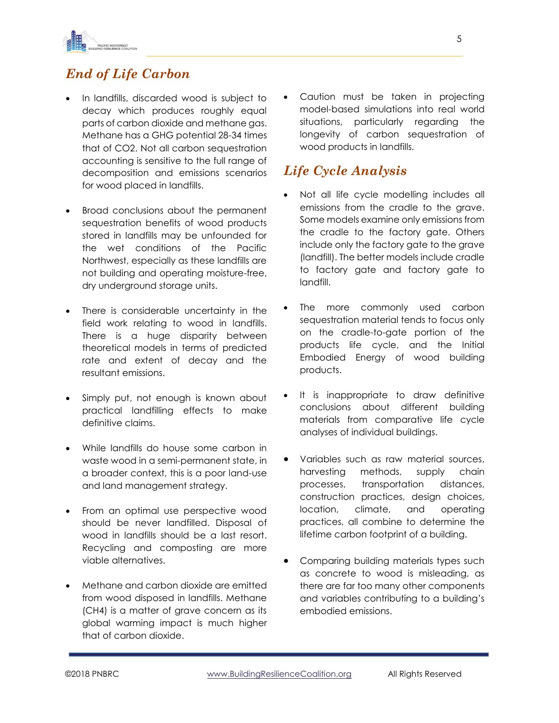

## *End of Life Carbon*

- In landfills, discarded wood is subject to decay which produces roughly equal parts of carbon dioxide and methane gas. Methane has a GHG potential 28-34 times that of CO2. Not all carbon sequestration accounting is sensitive to the full range of decomposition and emissions scenarios for wood placed in landfills.
- Broad conclusions about the permanent sequestration benefits of wood products stored in landfills may be unfounded for the wet conditions of the Pacific Northwest, especially as these landfills are not building and operating moisture-free, dry underground storage units.
- There is considerable uncertainty in the field work relating to wood in landfills. There is a huge disparity between theoretical models in terms of predicted rate and extent of decay and the resultant emissions.
- Simply put, not enough is known about practical landfilling effects to make definitive claims.
- While landfills do house some carbon in waste wood in a semi-permanent state, in a broader context, this is a poor land-use and land management strategy.
- From an optimal use perspective wood should be never landfilled. Disposal of wood in landfills should be a last resort. Recycling and composting are more viable alternatives.
- Methane and carbon dioxide are emitted from wood disposed in landfills. Methane (CH4) is a matter of grave concern as its global warming impact is much higher that of carbon dioxide.

Caution must be taken in projecting model-based simulations into real world situations, particularly regarding the longevity of carbon sequestration of wood products in landfills.

#### *Life Cycle Analysis*

- Not all life cycle modelling includes all emissions from the cradle to the grave. Some models examine only emissions from the cradle to the factory gate. Others include only the factory gate to the grave (landfill). The better models include cradle to factory gate and factory gate to landfill.
- The more commonly used carbon sequestration material tends to focus only on the cradle-to-gate portion of the products life cycle, and the Initial Embodied Energy of wood building products.
- It is inappropriate to draw definitive conclusions about different building materials from comparative life cycle analyses of individual buildings.
- Variables such as raw material sources, harvesting methods, supply chain processes, transportation distances, construction practices, design choices, location, climate, and operating practices, all combine to determine the lifetime carbon footprint of a building.
- Comparing building materials types such as concrete to wood is misleading, as there are far too many other components and variables contributing to a building's embodied emissions.